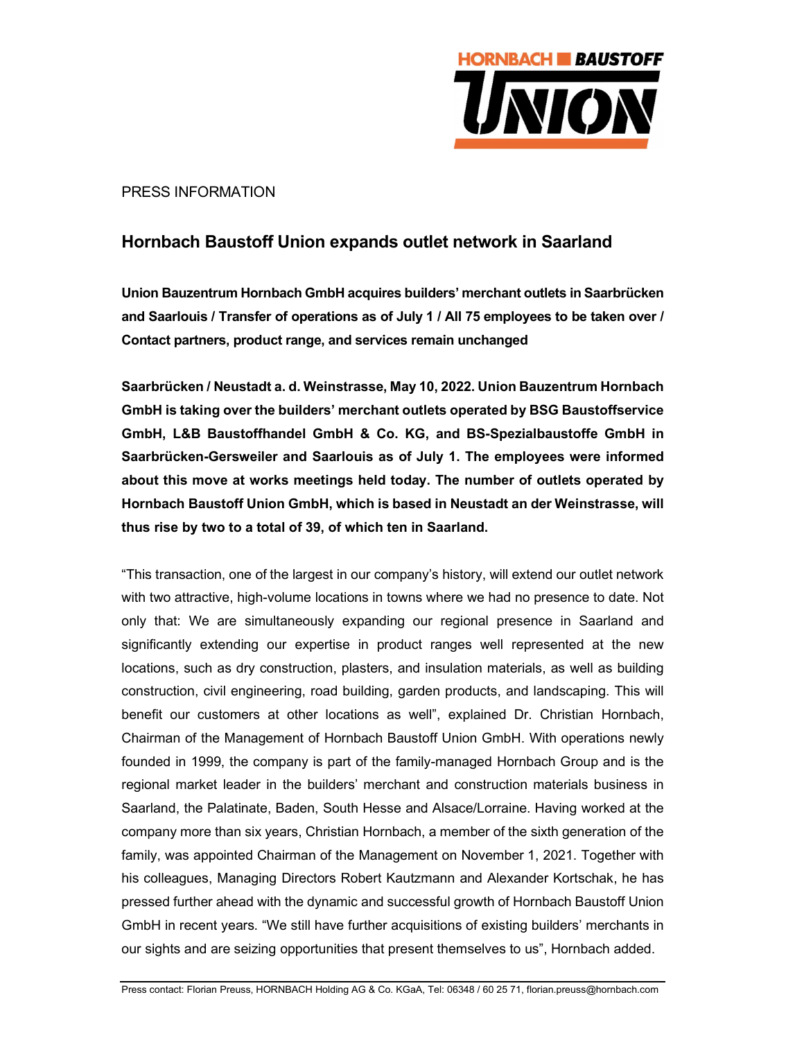

PRESS INFORMATION

## Hornbach Baustoff Union expands outlet network in Saarland

Union Bauzentrum Hornbach GmbH acquires builders' merchant outlets in Saarbrücken and Saarlouis / Transfer of operations as of July 1 / All 75 employees to be taken over / Contact partners, product range, and services remain unchanged

Saarbrücken / Neustadt a. d. Weinstrasse, May 10, 2022. Union Bauzentrum Hornbach GmbH is taking over the builders' merchant outlets operated by BSG Baustoffservice GmbH, L&B Baustoffhandel GmbH & Co. KG, and BS-Spezialbaustoffe GmbH in Saarbrücken-Gersweiler and Saarlouis as of July 1. The employees were informed about this move at works meetings held today. The number of outlets operated by Hornbach Baustoff Union GmbH, which is based in Neustadt an der Weinstrasse, will thus rise by two to a total of 39, of which ten in Saarland.

"This transaction, one of the largest in our company's history, will extend our outlet network with two attractive, high-volume locations in towns where we had no presence to date. Not only that: We are simultaneously expanding our regional presence in Saarland and significantly extending our expertise in product ranges well represented at the new locations, such as dry construction, plasters, and insulation materials, as well as building construction, civil engineering, road building, garden products, and landscaping. This will benefit our customers at other locations as well", explained Dr. Christian Hornbach, Chairman of the Management of Hornbach Baustoff Union GmbH. With operations newly founded in 1999, the company is part of the family-managed Hornbach Group and is the regional market leader in the builders' merchant and construction materials business in Saarland, the Palatinate, Baden, South Hesse and Alsace/Lorraine. Having worked at the company more than six years, Christian Hornbach, a member of the sixth generation of the family, was appointed Chairman of the Management on November 1, 2021. Together with his colleagues, Managing Directors Robert Kautzmann and Alexander Kortschak, he has pressed further ahead with the dynamic and successful growth of Hornbach Baustoff Union GmbH in recent years. "We still have further acquisitions of existing builders' merchants in our sights and are seizing opportunities that present themselves to us", Hornbach added.